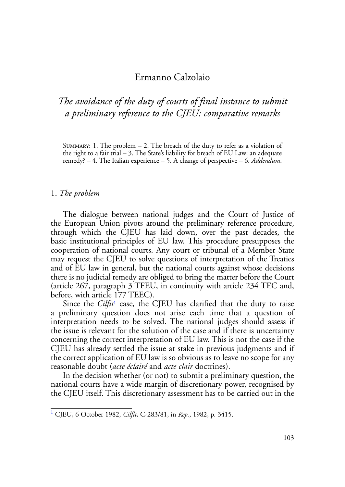# Ermanno Calzolaio

*The avoidance of the duty of courts of final instance to submit a preliminary reference to the CJEU: comparative remarks*

SUMMARY: 1. The problem  $-2$ . The breach of the duty to refer as a violation of the right to a fair trial  $-3$ . The State's liability for breach of EU Law: an adequate remedy? – 4. The Italian experience – 5. A change of perspective – 6. *Addendum*.

#### 1. *The problem*

The dialogue between national judges and the Court of Justice of the European Union pivots around the preliminary reference procedure, through which the CJEU has laid down, over the past decades, the basic institutional principles of EU law. This procedure presupposes the cooperation of national courts. Any court or tribunal of a Member State may request the CJEU to solve questions of interpretation of the Treaties and of EU law in general, but the national courts against whose decisions there is no judicial remedy are obliged to bring the matter before the Court (article 267, paragraph 3 TFEU, in continuity with article 234 TEC and, before, with article 177 TEEC).

Since the *Cilfit*<sup>1</sup> case, the CJEU has clarified that the duty to raise a preliminary question does not arise each time that a question of interpretation needs to be solved. The national judges should assess if the issue is relevant for the solution of the case and if there is uncertainty concerning the correct interpretation of EU law. This is not the case if the CJEU has already settled the issue at stake in previous judgments and if the correct application of EU law is so obvious as to leave no scope for any reasonable doubt (*acte éclairé* and *acte clair* doctrines).

In the decision whether (or not) to submit a preliminary question, the national courts have a wide margin of discretionary power, recognised by the CJEU itself. This discretionary assessment has to be carried out in the

<sup>1</sup> CJEU, 6 October 1982, *Cilfit*, C-283/81, in *Rep.*, 1982, p. 3415.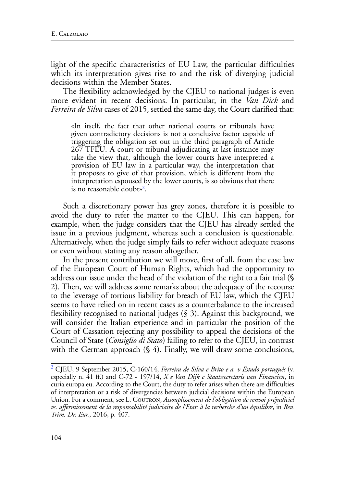light of the specific characteristics of EU Law, the particular difficulties which its interpretation gives rise to and the risk of diverging judicial decisions within the Member States.

The flexibility acknowledged by the CJEU to national judges is even more evident in recent decisions. In particular, in the *Van Dick* and *Ferreira de Silva* cases of 2015, settled the same day, the Court clarified that:

«In itself, the fact that other national courts or tribunals have given contradictory decisions is not a conclusive factor capable of triggering the obligation set out in the third paragraph of Article 267 TFEU. A court or tribunal adjudicating at last instance may take the view that, although the lower courts have interpreted a provision of EU law in a particular way, the interpretation that it proposes to give of that provision, which is different from the interpretation espoused by the lower courts, is so obvious that there is no reasonable doubt»2.

Such a discretionary power has grey zones, therefore it is possible to avoid the duty to refer the matter to the CJEU. This can happen, for example, when the judge considers that the CJEU has already settled the issue in a previous judgment, whereas such a conclusion is questionable. Alternatively, when the judge simply fails to refer without adequate reasons or even without stating any reason altogether.

In the present contribution we will move, first of all, from the case law of the European Court of Human Rights, which had the opportunity to address our issue under the head of the violation of the right to a fair trial (§ 2). Then, we will address some remarks about the adequacy of the recourse to the leverage of tortious liability for breach of EU law, which the CJEU seems to have relied on in recent cases as a counterbalance to the increased flexibility recognised to national judges (§ 3). Against this background, we will consider the Italian experience and in particular the position of the Court of Cassation rejecting any possibility to appeal the decisions of the Council of State (*Consiglio di Stato*) failing to refer to the CJEU, in contrast with the German approach (§ 4). Finally, we will draw some conclusions,

<sup>2</sup> CJEU, 9 September 2015, C-160/14, *Ferreira de Silva e Brito e a. v Estado português* (v. especially n. 41 ff.) and C-72 - 197/14, *X e Van Dijk c Staatssecretaris van Financiën*, in curia.europa.eu. According to the Court, the duty to refer arises when there are difficulties of interpretation or a risk of divergencies between judicial decisions within the European Union. For a comment, see L. Courron, *Assouplissement de l'obligation de renvoi préjudiciel vs. affermissement de la responsabilité judiciaire de l'Etat: à la recherche d'un équilibre*, in *Rev. Trim. Dr. Eur.*, 2016, p. 407.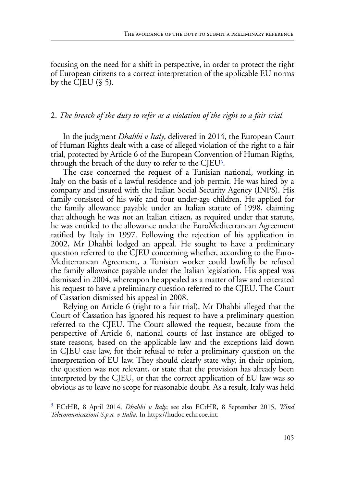focusing on the need for a shift in perspective, in order to protect the right of European citizens to a correct interpretation of the applicable EU norms by the CJEU  $(\S 5)$ .

# 2. *The breach of the duty to refer as a violation of the right to a fair trial*

In the judgment *Dhahbi v Italy*, delivered in 2014, the European Court of Human Rights dealt with a case of alleged violation of the right to a fair trial, protected by Article 6 of the European Convention of Human Rigths, through the breach of the duty to refer to the CJEU3.

The case concerned the request of a Tunisian national, working in Italy on the basis of a lawful residence and job permit. He was hired by a company and insured with the Italian Social Security Agency (INPS). His family consisted of his wife and four under-age children. He applied for the family allowance payable under an Italian statute of 1998, claiming that although he was not an Italian citizen, as required under that statute, he was entitled to the allowance under the EuroMediterranean Agreement ratified by Italy in 1997. Following the rejection of his application in 2002, Mr Dhahbi lodged an appeal. He sought to have a preliminary question referred to the CJEU concerning whether, according to the Euro-Mediterranean Agreement, a Tunisian worker could lawfully be refused the family allowance payable under the Italian legislation. His appeal was dismissed in 2004, whereupon he appealed as a matter of law and reiterated his request to have a preliminary question referred to the CJEU. The Court of Cassation dismissed his appeal in 2008.

Relying on Article 6 (right to a fair trial), Mr Dhahbi alleged that the Court of Cassation has ignored his request to have a preliminary question referred to the CJEU. The Court allowed the request, because from the perspective of Article 6, national courts of last instance are obliged to state reasons, based on the applicable law and the exceptions laid down in CJEU case law, for their refusal to refer a preliminary question on the interpretation of EU law. They should clearly state why, in their opinion, the question was not relevant, or state that the provision has already been interpreted by the CJEU, or that the correct application of EU law was so obvious as to leave no scope for reasonable doubt. As a result, Italy was held

<sup>3</sup> ECtHR, 8 April 2014, *Dhahbi v Italy*; see also ECtHR, 8 September 2015, *Wind Telecomunicazioni S.p.a. v Italia*. In https://hudoc.echr.coe.int.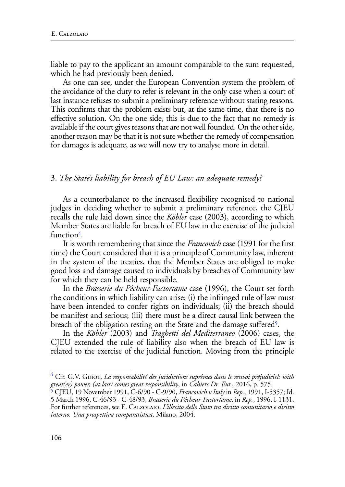liable to pay to the applicant an amount comparable to the sum requested, which he had previously been denied.

As one can see, under the European Convention system the problem of the avoidance of the duty to refer is relevant in the only case when a court of last instance refuses to submit a preliminary reference without stating reasons. This confirms that the problem exists but, at the same time, that there is no effective solution. On the one side, this is due to the fact that no remedy is available if the court gives reasons that are not well founded. On the other side, another reason may be that it is not sure whether the remedy of compensation for damages is adequate, as we will now try to analyse more in detail.

### 3. *The State's liability for breach of EU Law: an adequate remedy?*

As a counterbalance to the increased flexibility recognised to national judges in deciding whether to submit a preliminary reference, the CJEU recalls the rule laid down since the *Köbler* case (2003), according to which Member States are liable for breach of EU law in the exercise of the judicial function<sup>4</sup>.

It is worth remembering that since the *Francovich* case (1991 for the first time) the Court considered that it is a principle of Community law, inherent in the system of the treaties, that the Member States are obliged to make good loss and damage caused to individuals by breaches of Community law for which they can be held responsible.

In the *Brasserie du Pêcheur-Factortame* case (1996), the Court set forth the conditions in which liability can arise: (i) the infringed rule of law must have been intended to confer rights on individuals; (ii) the breach should be manifest and serious; (iii) there must be a direct causal link between the breach of the obligation resting on the State and the damage suffered<sup>5</sup>.

In the *Köbler* (2003) and *Traghetti del Mediterraneo* (2006) cases, the CJEU extended the rule of liability also when the breach of EU law is related to the exercise of the judicial function. Moving from the principle

<sup>&</sup>lt;sup>4</sup> Cfr. G.V. Gu10r, *La responsabilité des juridictions suprêmes dans le renvoi préjudiciel: with great(er) power, (at last) comes great responsibility*, in *Cahiers Dr. Eur.*, 2016, p. 575.

<sup>5</sup> CJEU, 19 November 1991, C-6/90 - C-9/90, *Francovich v Italy* in *Rep.*, 1991, I-5357; Id. 5 March 1996, C-46/93 - C-48/93, *Brasserie du Pêcheur-Factortame*, in *Rep.*, 1996, I-1131. For further references, see E. Calzolaio, *L'illecito dello Stato tra diritto comunitario e diritto interno. Una prospettiva comparatistica*, Milano, 2004.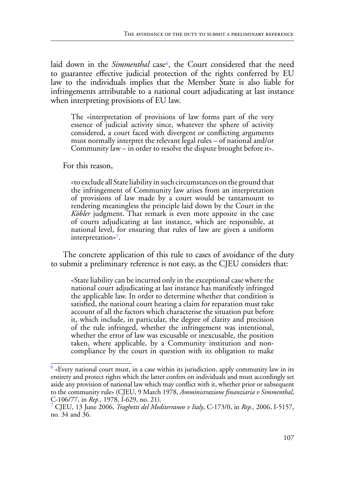laid down in the *Simmenthal* case<sup>6</sup>, the Court considered that the need to guarantee effective judicial protection of the rights conferred by EU law to the individuals implies that the Member State is also liable for infringements attributable to a national court adjudicating at last instance when interpreting provisions of EU law.

The «interpretation of provisions of law forms part of the very essence of judicial activity since, whatever the sphere of activity considered, a court faced with divergent or conflicting arguments must normally interpret the relevant legal rules – of national and/or Community law – in order to resolve the dispute brought before it».

For this reason,

«to exclude all State liability in such circumstances on the ground that the infringement of Community law arises from an interpretation of provisions of law made by a court would be tantamount to rendering meaningless the principle laid down by the Court in the *Köbler* judgment. That remark is even more apposite in the case of courts adjudicating at last instance, which are responsible, at national level, for ensuring that rules of law are given a uniform interpretation»<sup>7</sup>.

The concrete application of this rule to cases of avoidance of the duty to submit a preliminary reference is not easy, as the CJEU considers that:

«State liability can be incurred only in the exceptional case where the national court adjudicating at last instance has manifestly infringed the applicable law. In order to determine whether that condition is satisfied, the national court hearing a claim for reparation must take account of all the factors which characterise the situation put before it, which include, in particular, the degree of clarity and precision of the rule infringed, whether the infringement was intentional, whether the error of law was excusable or inexcusable, the position taken, where applicable, by a Community institution and noncompliance by the court in question with its obligation to make

 $<sup>6</sup>$  «Every national court must, in a case within its jurisdiction, apply community law in its</sup> entirety and protect rights which the latter confers on individuals and must accordingly set aside any provision of national law which may conflict with it, whether prior or subsequent to the community rule» (CJEU, 9 March 1978, *Amministrazione finanziaria v Simmenthal*, C-106/77, in *Rep.*, 1978, I-629, no. 21).

<sup>7</sup> CJEU, 13 June 2006, *Traghetti del Mediterraneo v Italy*, C-173/0, in *Rep.,* 2006, I-5157, no. 34 and 36.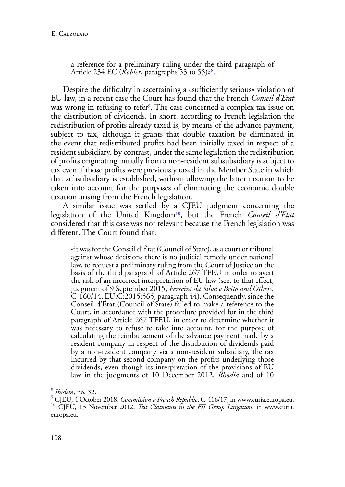a reference for a preliminary ruling under the third paragraph of Article 234 EC (*Köbler*, paragraphs 53 to 55)»8.

Despite the difficulty in ascertaining a «sufficiently serious» violation of EU law, in a recent case the Court has found that the French *Conseil d'Etat* was wrong in refusing to refer<sup>9</sup>. The case concerned a complex tax issue on the distribution of dividends. In short, according to French legislation the redistribution of profits already taxed is, by means of the advance payment, subject to tax, although it grants that double taxation be eliminated in the event that redistributed profits had been initially taxed in respect of a resident subsidiary. By contrast, under the same legislation the redistribution of profits originating initially from a non-resident subsubsidiary is subject to tax even if those profits were previously taxed in the Member State in which that subsubsidiary is established, without allowing the latter taxation to be taken into account for the purposes of eliminating the economic double taxation arising from the French legislation.

A similar issue was settled by a CJEU judgment concerning the legislation of the United Kingdom10, but the French *Conseil d'Etat* considered that this case was not relevant because the French legislation was different. The Court found that:

«it was for the Conseil d'État (Council of State), as a court or tribunal against whose decisions there is no judicial remedy under national law, to request a preliminary ruling from the Court of Justice on the basis of the third paragraph of Article 267 TFEU in order to avert the risk of an incorrect interpretation of EU law (see, to that effect, judgment of 9 September 2015, *Ferreira da Silva e Brito and Others*, C-160/14, EU:C:2015:565, paragraph 44). Consequently, since the Conseil d'État (Council of State) failed to make a reference to the Court, in accordance with the procedure provided for in the third paragraph of Article 267 TFEU, in order to determine whether it was necessary to refuse to take into account, for the purpose of calculating the reimbursement of the advance payment made by a resident company in respect of the distribution of dividends paid by a non-resident company via a non-resident subsidiary, the tax incurred by that second company on the profits underlying those dividends, even though its interpretation of the provisions of EU law in the judgments of 10 December 2012, *Rhodia* and of 10

<sup>8</sup> *Ibidem*, no. 32.

<sup>&</sup>lt;sup>9</sup> CJEU, 4 October 2018, *Commission v French Republic*, C-416/17, in www.curia.europa.eu.<br><sup>10</sup> CJEU, 13 November 2012, *Test Claimants in the FII Group Litigation*, in www.curia. europa.eu.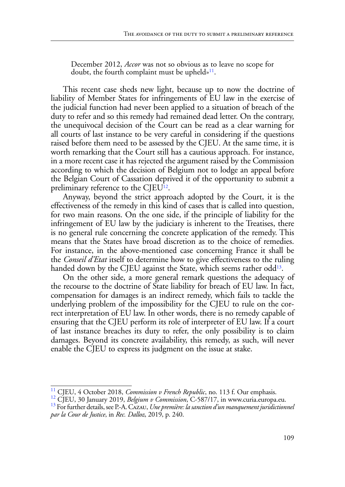December 2012, *Accor* was not so obvious as to leave no scope for doubt, the fourth complaint must be upheld»<sup>11</sup>.

This recent case sheds new light, because up to now the doctrine of liability of Member States for infringements of EU law in the exercise of the judicial function had never been applied to a situation of breach of the duty to refer and so this remedy had remained dead letter. On the contrary, the unequivocal decision of the Court can be read as a clear warning for all courts of last instance to be very careful in considering if the questions raised before them need to be assessed by the CJEU. At the same time, it is worth remarking that the Court still has a cautious approach. For instance, in a more recent case it has rejected the argument raised by the Commission according to which the decision of Belgium not to lodge an appeal before the Belgian Court of Cassation deprived it of the opportunity to submit a preliminary reference to the CJEU12.

Anyway, beyond the strict approach adopted by the Court, it is the effectiveness of the remedy in this kind of cases that is called into question, for two main reasons. On the one side, if the principle of liability for the infringement of EU law by the judiciary is inherent to the Treatises, there is no general rule concerning the concrete application of the remedy. This means that the States have broad discretion as to the choice of remedies. For instance, in the above-mentioned case concerning France it shall be the *Conseil d'Etat* itself to determine how to give effectiveness to the ruling handed down by the CJEU against the State, which seems rather odd<sup>13</sup>.

On the other side, a more general remark questions the adequacy of the recourse to the doctrine of State liability for breach of EU law. In fact, compensation for damages is an indirect remedy, which fails to tackle the underlying problem of the impossibility for the CJEU to rule on the correct interpretation of EU law. In other words, there is no remedy capable of ensuring that the CJEU perform its role of interpreter of EU law. If a court of last instance breaches its duty to refer, the only possibility is to claim damages. Beyond its concrete availability, this remedy, as such, will never enable the CJEU to express its judgment on the issue at stake.

<sup>&</sup>lt;sup>11</sup> CJEU, 4 October 2018, *Commission v French Republic*, no. 113 f. Our emphasis.<br><sup>12</sup> CJEU, 30 January 2019, *Belgium v Commission*, C-587/17, in www.curia.europa.eu.<br><sup>13</sup> For further details, see P.-A. CAzAU, *Une prem* 

*par la Cour de Justice*, in *Rec. Dalloz*, 2019, p. 240.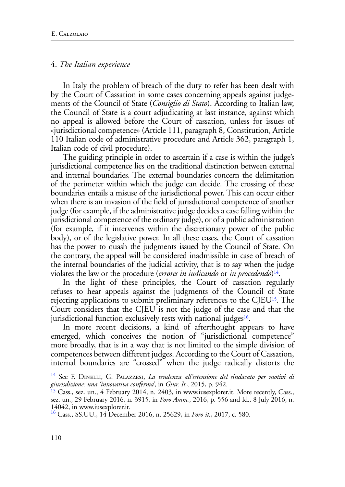#### 4. *The Italian experience*

In Italy the problem of breach of the duty to refer has been dealt with by the Court of Cassation in some cases concerning appeals against judgements of the Council of State (*Consiglio di Stato*). According to Italian law, the Council of State is a court adjudicating at last instance, against which no appeal is allowed before the Court of cassation, unless for issues of «jurisdictional competence» (Article 111, paragraph 8, Constitution, Article 110 Italian code of administrative procedure and Article 362, paragraph 1, Italian code of civil procedure).

The guiding principle in order to ascertain if a case is within the judge's jurisdictional competence lies on the traditional distinction between external and internal boundaries. The external boundaries concern the delimitation of the perimeter within which the judge can decide. The crossing of these boundaries entails a misuse of the jurisdictional power. This can occur either when there is an invasion of the field of jurisdictional competence of another judge (for example, if the administrative judge decides a case falling within the jurisdictional competence of the ordinary judge), or of a public administration (for example, if it intervenes within the discretionary power of the public body), or of the legislative power. In all these cases, the Court of cassation has the power to quash the judgments issued by the Council of State. On the contrary, the appeal will be considered inadmissible in case of breach of the internal boundaries of the judicial activity, that is to say when the judge violates the law or the procedure (*errores in iudicando* or *in procedendo*)14.

In the light of these principles, the Court of cassation regularly refuses to hear appeals against the judgments of the Council of State rejecting applications to submit preliminary references to the CJEU15*.* The Court considers that the CJEU is not the judge of the case and that the jurisdictional function exclusively rests with national judges<sup>16</sup>.

In more recent decisions, a kind of afterthought appears to have emerged, which conceives the notion of "jurisdictional competence" more broadly, that is in a way that is not limited to the simple division of competences between different judges. According to the Court of Cassation, internal boundaries are "crossed" when the judge radically distorts the

<sup>&</sup>lt;sup>14</sup> See F. DINELLI, G. PALAZZESI, *La tendenza all'estensione del sindacato per motivi di giurisdizione: una 'innovativa conferma'*, in *Giur. It.*, 2015, p. 942.

<sup>&</sup>lt;sup>15</sup> Cass., sez. un., 4 February 2014, n. 2403, in www.iusexplorer.it. More recently, Cass., sez. un., 29 February 2016, n. 3915, in *Foro Amm.*, 2016, p. 556 and Id., 8 July 2016, n. 14042, in www.iusexplorer.it.

<sup>16</sup> Cass., SS.UU., 14 December 2016, n. 25629, in *Foro it.*, 2017, c. 580.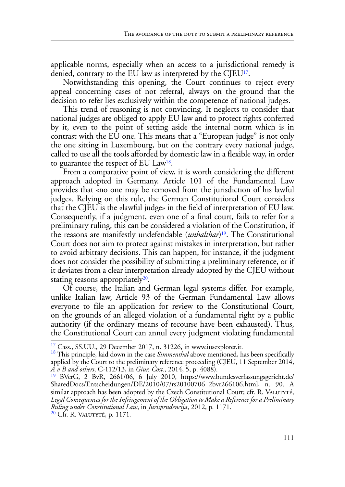applicable norms, especially when an access to a jurisdictional remedy is denied, contrary to the EU law as interpreted by the CJEU17.

Notwithstanding this opening, the Court continues to reject every appeal concerning cases of not referral, always on the ground that the decision to refer lies exclusively within the competence of national judges.

This trend of reasoning is not convincing. It neglects to consider that national judges are obliged to apply EU law and to protect rights conferred by it, even to the point of setting aside the internal norm which is in contrast with the EU one. This means that a "European judge" is not only the one sitting in Luxembourg, but on the contrary every national judge, called to use all the tools afforded by domestic law in a flexible way, in order to guarantee the respect of EU Law18.

From a comparative point of view, it is worth considering the different approach adopted in Germany. Article 101 of the Fundamental Law provides that «no one may be removed from the jurisdiction of his lawful judge». Relying on this rule, the German Constitutional Court considers that the CJEU is the «lawful judge» in the field of interpretation of EU law. Consequently, if a judgment, even one of a final court, fails to refer for a preliminary ruling, this can be considered a violation of the Constitution, if the reasons are manifestly undefendable (*unhaltbar*)19. The Constitutional Court does not aim to protect against mistakes in interpretation, but rather to avoid arbitrary decisions. This can happen, for instance, if the judgment does not consider the possibility of submitting a preliminary reference, or if it deviates from a clear interpretation already adopted by the CJEU without stating reasons appropriately $20$ .

Of course, the Italian and German legal systems differ. For example, unlike Italian law, Article 93 of the German Fundamental Law allows everyone to file an application for review to the Constitutional Court, on the grounds of an alleged violation of a fundamental right by a public authority (if the ordinary means of recourse have been exhausted). Thus, the Constitutional Court can annul every judgment violating fundamental

<sup>&</sup>lt;sup>17</sup> Cass., SS.UU., 29 December 2017, n. 31226, in www.iusexplorer.it.<br><sup>18</sup> This principle, laid down in the case *Simmenthal* above mentioned, has been specifically applied by the Court to the preliminary reference proceeding (CJEU, 11 September 2014, *A v B and others*, C-112/13, in *Giur. Cost.*, 2014, 5, p. 4088).

<sup>19</sup> BVerG, 2 BvR, 2661/06, 6 July 2010, https://www.bundesverfassungsgericht.de/ SharedDocs/Entscheidungen/DE/2010/07/rs20100706\_2bvr266106.html, n. 90. A similar approach has been adopted by the Czech Constitutional Court; cfr. R. VALUTYTÉ, *Legal Consequences for the Infringement of the Obligation to Make a Reference for a Preliminary Ruling under Constitutional Law*, in *Jurisprudencija*, 2012, p. 1171. 20 Cfr. R. Valutyté, p. 1171*.*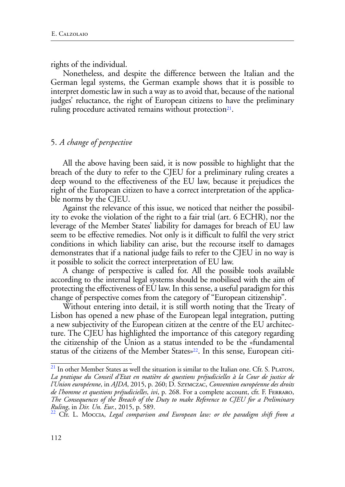rights of the individual.

Nonetheless, and despite the difference between the Italian and the German legal systems, the German example shows that it is possible to interpret domestic law in such a way as to avoid that, because of the national judges' reluctance, the right of European citizens to have the preliminary ruling procedure activated remains without protection<sup>21</sup>.

# 5. *A change of perspective*

All the above having been said, it is now possible to highlight that the breach of the duty to refer to the CJEU for a preliminary ruling creates a deep wound to the effectiveness of the EU law, because it prejudices the right of the European citizen to have a correct interpretation of the applicable norms by the CJEU.

Against the relevance of this issue, we noticed that neither the possibility to evoke the violation of the right to a fair trial (art. 6 ECHR), nor the leverage of the Member States' liability for damages for breach of EU law seem to be effective remedies. Not only is it difficult to fulfil the very strict conditions in which liability can arise, but the recourse itself to damages demonstrates that if a national judge fails to refer to the CJEU in no way is it possible to solicit the correct interpretation of EU law.

A change of perspective is called for. All the possible tools available according to the internal legal systems should be mobilised with the aim of protecting the effectiveness of EU law. In this sense, a useful paradigm for this change of perspective comes from the category of "European citizenship".

Without entering into detail, it is still worth noting that the Treaty of Lisbon has opened a new phase of the European legal integration, putting a new subjectivity of the European citizen at the centre of the EU architecture. The CJEU has highlighted the importance of this category regarding the citizenship of the Union as a status intended to be the «fundamental status of the citizens of the Member States»<sup>22</sup>. In this sense, European citi-

 $21$  In other Member States as well the situation is similar to the Italian one. Cfr. S. PLATON, *La pratique du Conseil d'Etat en matière de questions préjudicielles à la Cour de justice de l'Union européenne*, in *AJDA*, 2015, p. 260; D. Szymczac, *Convention européenne des droits de l'homme et questions préjudicielles*, *ivi*, p. 268. For a complete account, cfr. F. Ferraro, *The Consequences of the Breach of the Duty to make Reference to CJEU for a Preliminary Ruling*, in *Dir. Un. Eur.*, 2015, p. 589. 22 Cfr. L. Moccia, *Legal comparison and European law: or the paradigm shift from a*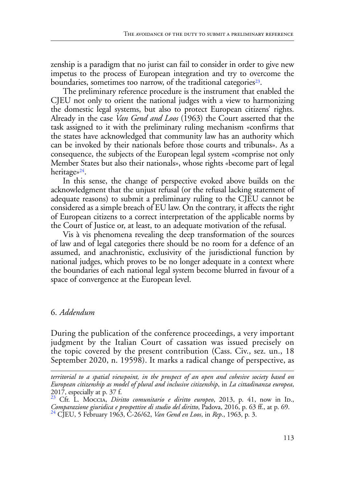zenship is a paradigm that no jurist can fail to consider in order to give new impetus to the process of European integration and try to overcome the boundaries, sometimes too narrow, of the traditional categories<sup>23</sup>.

The preliminary reference procedure is the instrument that enabled the CJEU not only to orient the national judges with a view to harmonizing the domestic legal systems, but also to protect European citizens' rights. Already in the case *Van Gend and Loos* (1963) the Court asserted that the task assigned to it with the preliminary ruling mechanism «confirms that the states have acknowledged that community law has an authority which can be invoked by their nationals before those courts and tribunals». As a consequence, the subjects of the European legal system «comprise not only Member States but also their nationals», whose rights «become part of legal heritage»<sup>24</sup>.

In this sense, the change of perspective evoked above builds on the acknowledgment that the unjust refusal (or the refusal lacking statement of adequate reasons) to submit a preliminary ruling to the CJEU cannot be considered as a simple breach of EU law. On the contrary, it affects the right of European citizens to a correct interpretation of the applicable norms by the Court of Justice or, at least, to an adequate motivation of the refusal.

Vis à vis phenomena revealing the deep transformation of the sources of law and of legal categories there should be no room for a defence of an assumed, and anachronistic, exclusivity of the jurisdictional function by national judges, which proves to be no longer adequate in a context where the boundaries of each national legal system become blurred in favour of a space of convergence at the European level.

## 6. *Addendum*

During the publication of the conference proceedings, a very important judgment by the Italian Court of cassation was issued precisely on the topic covered by the present contribution (Cass. Civ., sez. un., 18 September 2020, n. 19598). It marks a radical change of perspective, as

*territorial to a spatial viewpoint, in the prospect of an open and cohesive society based on European citizenship as model of plural and inclusive citizenship*, in *La cittadinanza europea*, 2017, especially at p. 37 f.

<sup>&</sup>lt;sup>23</sup> Cfr. L. Moccia, *Diritto comunitario e diritto europeo*, 2013, p. 41, now in ID., *Comparazione giuridica e prospettive di studio del diritto*, Padova, 2016, p. 63 ff., at p. 69. 24 CJEU, 5 February 1963, C-26/62, *Van Gend en Loos*, in *Rep*., 1963, p. 3.